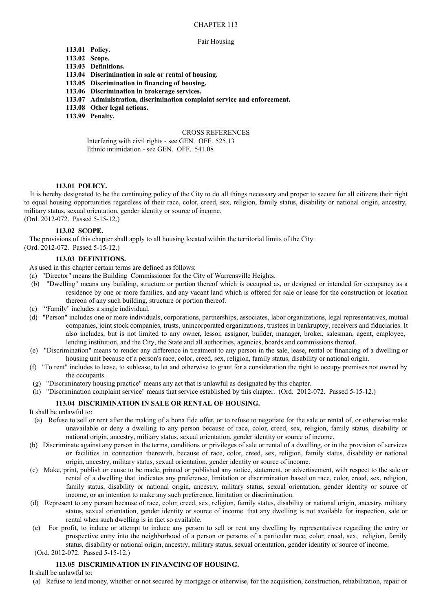## CHAPTER 113

#### Fair Housing

# **113.01 Policy.**

- **113.02 Scope.**
- **113.03 Definitions.**
- **113.04 Discrimination in sale or rental of housing.**
- **113.05 Discrimination in financing of housing.**
- **113.06 Discrimination in brokerage services.**
- **113.07 Administration, discrimination complaint service and enforcement.**
- **113.08 Other legal actions.**
- **113.99 Penalty.**

### CROSS REFERENCES

Interfering with civil rights - see GEN. OFF. 525.13 Ethnic intimidation - see GEN. OFF. 541.08

## **113.01 POLICY.**

It is hereby designated to be the continuing policy of the City to do all things necessary and proper to secure for all citizens their right to equal housing opportunities regardless of their race, color, creed, sex, religion, family status, disability or national origin, ancestry, military status, sexual orientation, gender identity or source of income. (Ord. 2012-072. Passed 5-15-12.)

### **113.02 SCOPE.**

The provisions of this chapter shall apply to all housing located within the territorial limits of the City.

(Ord. 2012-072. Passed 5-15-12.)

# **113.03 DEFINITIONS.**

As used in this chapter certain terms are defined as follows:

- (a) "Director" means the Building Commissioner for the City of Warrensville Heights.
- (b) "Dwelling" means any building, structure or portion thereof which is occupied as, or designed or intended for occupancy as a residence by one or more families, and any vacant land which is offered for sale or lease for the construction or location thereon of any such building, structure or portion thereof.
- (c) "Family" includes a single individual.
- (d) "Person" includes one or more individuals, corporations, partnerships, associates, labor organizations, legal representatives, mutual companies, joint stock companies, trusts, unincorporated organizations, trustees in bankruptcy, receivers and fiduciaries. It also includes, but is not limited to any owner, lessor, assignor, builder, manager, broker, salesman, agent, employee, lending institution, and the City, the State and all authorities, agencies, boards and commissions thereof.
- (e) "Discrimination" means to render any difference in treatment to any person in the sale, lease, rental or financing of a dwelling or housing unit because of a person's race, color, creed, sex, religion, family status, disability or national origin.
- (f) "To rent" includes to lease, to sublease, to let and otherwise to grant for a consideration the right to occupy premises not owned by the occupants.
- (g) "Discriminatory housing practice" means any act that is unlawful as designated by this chapter.
- (h) "Discrimination complaint service" means that service established by this chapter. (Ord. 2012-072. Passed 5-15-12.)

# **113.04 DISCRIMINATION IN SALE OR RENTAL OF HOUSING.**

It shall be unlawful to:

- (a) Refuse to sell or rent after the making of a bona fide offer, or to refuse to negotiate for the sale or rental of, or otherwise make unavailable or deny a dwelling to any person because of race, color, creed, sex, religion, family status, disability or national origin, ancestry, military status, sexual orientation, gender identity or source of income.
- (b) Discriminate against any person in the terms, conditions or privileges of sale or rental of a dwelling, or in the provision of services or facilities in connection therewith, because of race, color, creed, sex, religion, family status, disability or national origin, ancestry, military status, sexual orientation, gender identity or source of income.
- (c) Make, print, publish or cause to be made, printed or published any notice, statement, or advertisement, with respect to the sale or rental of a dwelling that indicates any preference, limitation or discrimination based on race, color, creed, sex, religion, family status, disability or national origin, ancestry, military status, sexual orientation, gender identity or source of income, or an intention to make any such preference, limitation or discrimination.
- (d) Represent to any person because of race, color, creed, sex, religion, family status, disability or national origin, ancestry, military status, sexual orientation, gender identity or source of income. that any dwelling is not available for inspection, sale or rental when such dwelling is in fact so available.
- (e) For profit, to induce or attempt to induce any person to sell or rent any dwelling by representatives regarding the entry or prospective entry into the neighborhood of a person or persons of a particular race, color, creed, sex, religion, family status, disability or national origin, ancestry, military status, sexual orientation, gender identity or source of income.
- (Ord. 2012-072. Passed 5-15-12.)

## **113.05 DISCRIMINATION IN FINANCING OF HOUSING.**

It shall be unlawful to:

(a) Refuse to lend money, whether or not secured by mortgage or otherwise, for the acquisition, construction, rehabilitation, repair or